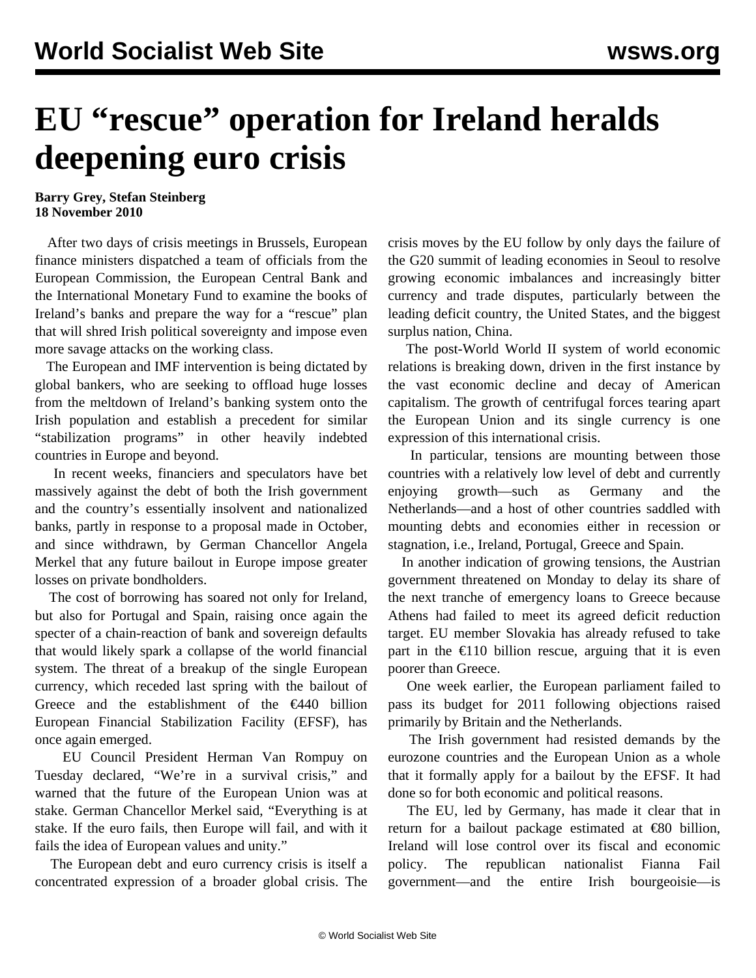## **EU "rescue" operation for Ireland heralds deepening euro crisis**

**Barry Grey, Stefan Steinberg 18 November 2010**

 After two days of crisis meetings in Brussels, European finance ministers dispatched a team of officials from the European Commission, the European Central Bank and the International Monetary Fund to examine the books of Ireland's banks and prepare the way for a "rescue" plan that will shred Irish political sovereignty and impose even more savage attacks on the working class.

 The European and IMF intervention is being dictated by global bankers, who are seeking to offload huge losses from the meltdown of Ireland's banking system onto the Irish population and establish a precedent for similar "stabilization programs" in other heavily indebted countries in Europe and beyond.

 In recent weeks, financiers and speculators have bet massively against the debt of both the Irish government and the country's essentially insolvent and nationalized banks, partly in response to a proposal made in October, and since withdrawn, by German Chancellor Angela Merkel that any future bailout in Europe impose greater losses on private bondholders.

 The cost of borrowing has soared not only for Ireland, but also for Portugal and Spain, raising once again the specter of a chain-reaction of bank and sovereign defaults that would likely spark a collapse of the world financial system. The threat of a breakup of the single European currency, which receded last spring with the bailout of Greece and the establishment of the  $\epsilon$ 440 billion European Financial Stabilization Facility (EFSF), has once again emerged.

 EU Council President Herman Van Rompuy on Tuesday declared, "We're in a survival crisis," and warned that the future of the European Union was at stake. German Chancellor Merkel said, "Everything is at stake. If the euro fails, then Europe will fail, and with it fails the idea of European values and unity."

 The European debt and euro currency crisis is itself a concentrated expression of a broader global crisis. The crisis moves by the EU follow by only days the failure of the G20 summit of leading economies in Seoul to resolve growing economic imbalances and increasingly bitter currency and trade disputes, particularly between the leading deficit country, the United States, and the biggest surplus nation, China.

 The post-World World II system of world economic relations is breaking down, driven in the first instance by the vast economic decline and decay of American capitalism. The growth of centrifugal forces tearing apart the European Union and its single currency is one expression of this international crisis.

 In particular, tensions are mounting between those countries with a relatively low level of debt and currently enjoying growth—such as Germany and the Netherlands—and a host of other countries saddled with mounting debts and economies either in recession or stagnation, i.e., Ireland, Portugal, Greece and Spain.

 In another indication of growing tensions, the Austrian government threatened on Monday to delay its share of the next tranche of emergency loans to Greece because Athens had failed to meet its agreed deficit reduction target. EU member Slovakia has already refused to take part in the  $\epsilon$ 110 billion rescue, arguing that it is even poorer than Greece.

 One week earlier, the European parliament failed to pass its budget for 2011 following objections raised primarily by Britain and the Netherlands.

 The Irish government had resisted demands by the eurozone countries and the European Union as a whole that it formally apply for a bailout by the EFSF. It had done so for both economic and political reasons.

 The EU, led by Germany, has made it clear that in return for a bailout package estimated at  $\epsilon$ 80 billion, Ireland will lose control over its fiscal and economic policy. The republican nationalist Fianna Fail government—and the entire Irish bourgeoisie—is